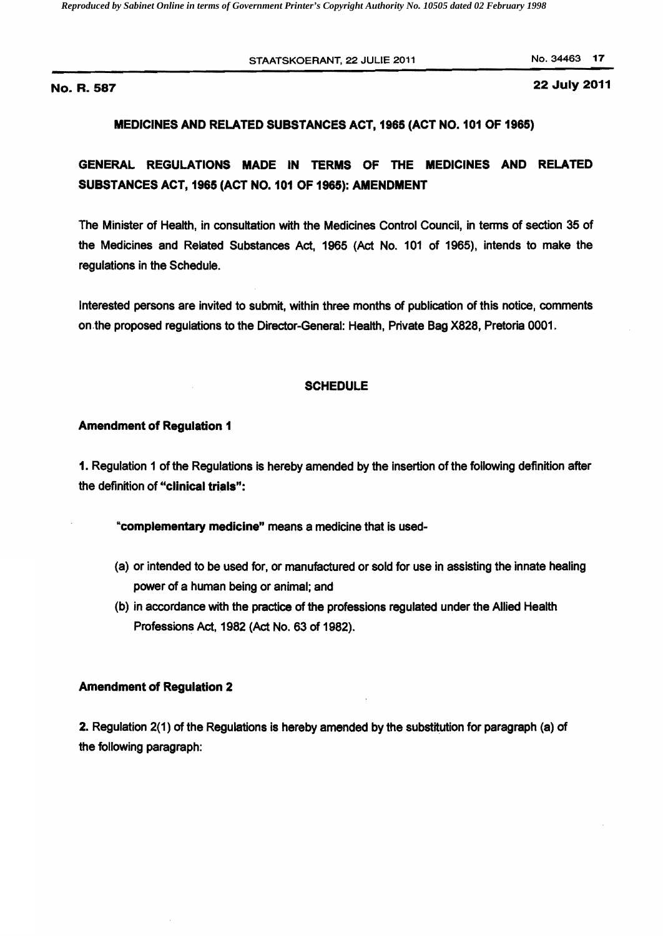*Reproduced by Sabinet Online in terms of Government Printer's Copyright Authority No. 10505 dated 02 February 1998* 

STAATSKOERANT, 22 JULIE 2011 No. 34463 17

No. R. 22 July 2011 587

## MEDICINES AND RELATED SUBSTANCES ACT, 1965 (ACT NO. 101 OF 1965)

GENERAL REGULATIONS MADE IN TERMS OF THE MEDICINES AND RELATED SUBSTANCES ACT, 1965 (ACT NO. 101 OF 1965): AMENDMENT

The Minister of Health, in consultation with the Medicines Control Council, in tenns of section 35 of the Medicines and Related Substances Act, 1965 (Act No. 101 of 1965), intends to make the regulations in the Schedule.

Interested persons are invited to submit, within three months of publication of this notice, comments on.the proposed regulations to the Director-General: Health, Private Bag X828, Pretoria 0001.

#### **SCHEDULE**

#### Amendment of Regulation 1

1. Regulation 1 of the Regulations is hereby amended by the insertion of the following definition after the definition of "clinical trials":

"complementary medicine" means a medicine that is used

- (a) or intended to be used for, or manufactured or sold for use in assisting the innate healing power of a human being or animal; and
- (b) in accordance with the practice of the professions regulated under the Allied Health Professions Act, 1982 (Act No. 63 of 1982).

#### Amendment of Regulation 2

2. Regulation 2(1) of the Regulations is hereby amended by the substitution for paragraph (a) of the following paragraph: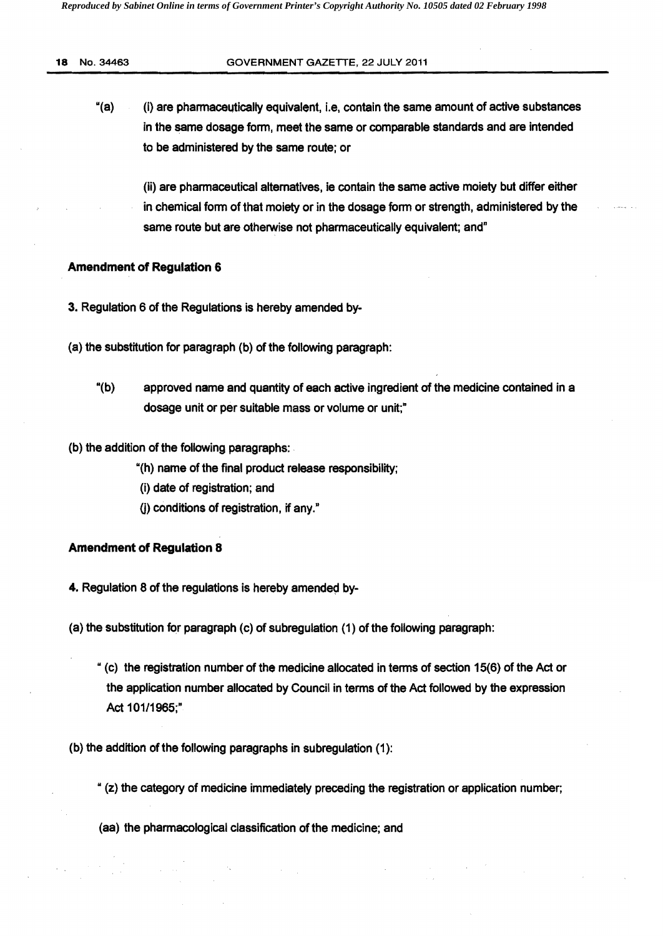#### 18 No. 34463 GOVERNMENT GAZETTE, 22 JULY 2011

"(a) (i) are pharmaceutically equivalent, i.e, contain the same amount of active substances in the same dosage form, meet the same or comparable standards and are intended to be administered by the same route; or

(ii) are pharmaceutical alternatives, ie contain the same active moiety but differ either in chemical form of that moiety or in the dosage form or strength, administered by the same route but are otherwise not pharmaceutically equivalent; and"

### Amendment of Regulation 6

- 3. Regulation 6 of the Regulations is hereby amended by
- (a) the substitution for paragraph (b) of the following paragraph:
	- "(b) approved name and quantity of each active ingredient of the medicine contained in a dosage unit or per suitable mass or volume or unit;"
- (b) the addition of the following paragraphs: .
	- "(h) name of the final product release responsibility;
	- (i) date of registration; and
	- 0) conditions of registration, if any,»

# Amendment of Regulation 8

4. Regulation 8 of the regulations is hereby amended by-

- (a) the substitution for paragraph (c) of subregulation (1) of the following paragraph:
	- "(c) the registration number of the medicine allocated in terms of section 15(6) of the Act or the application number allocated by Council in terms of the Act followed by the expression Act 101/1965;"
- (b) the addition of the following paragraphs in subregulation (1):

.. (z) the category of medicine immediately preceding the registration or application number;

(aa) the pharmacological classification of the medicine; and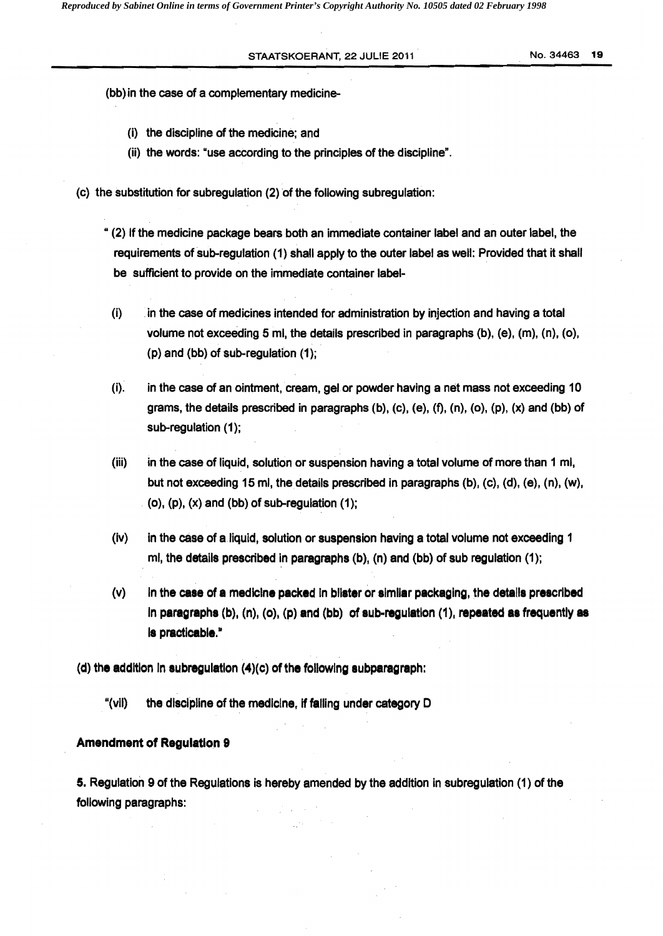STAATSKOERANT, 22 JULIE 2011 **No. 34463 19** 

(bb) in the case of a complementary medicine

- (i) the discipline of the medicine; and
- (ii) the words: "use according to the principles of the discipline".
- (c) the substitution for subregulation (2) of the following subregulation:
	- (2) If the medicine package bears both an immediate container label and an outer label, the requirements of sub-regulation (1) shall apply to the outer label as well: Provided that it shall be sufficient to provide on the immediate container label
	- (i) in the case of medicines intended for administration by injection and having a total volume not exceeding 5 ml, the details prescribed in paragraphs (b), (e), (m), (n), (o), (p) and (bb) of sub-regulation  $(1)$ ;
	- (i). in the case of an Ointment, cream, gel or powder having a net mass not exceeding 10 grams, the details prescribed in paragraphs  $(b)$ ,  $(c)$ ,  $(e)$ ,  $(f)$ ,  $(n)$ ,  $(o)$ ,  $(p)$ ,  $(x)$  and  $(bb)$  of sub-regulation (1);
	- (iii) in the case of liquid, solution or suspension having a total volume of more than 1 ml, but not exceeding 15 ml, the details prescribed in paragraphs (b), (c), (d), (e), (n), (w),  $(a)$ ,  $(p)$ ,  $(x)$  and  $(bb)$  of sub-regulation  $(1)$ ;
	- $(iv)$  in the case of a liquid, solution or suspension having a total volume not exceeding 1 ml, the details prescribed in paragraphs  $(b)$ ,  $(n)$  and  $(bb)$  of sub regulation  $(1)$ ;
	- $(v)$  In the case of a medicine packed in blister or similar packaging, the details prescribed in paragraphs  $(b)$ ,  $(n)$ ,  $(o)$ ,  $(p)$  and  $(bb)$  of sub-regulation  $(1)$ , repeated as frequently as is practicable."

(d) the addition in subregulation  $(4)(c)$  of the following subparagraph:

"(vil) the discipline of the medicine, if falling under category D

#### Amendment of Regulation 9

5. Regulation 9 of the Regulations is hereby amended by the addition in subregulation (1) of the following paragraphs: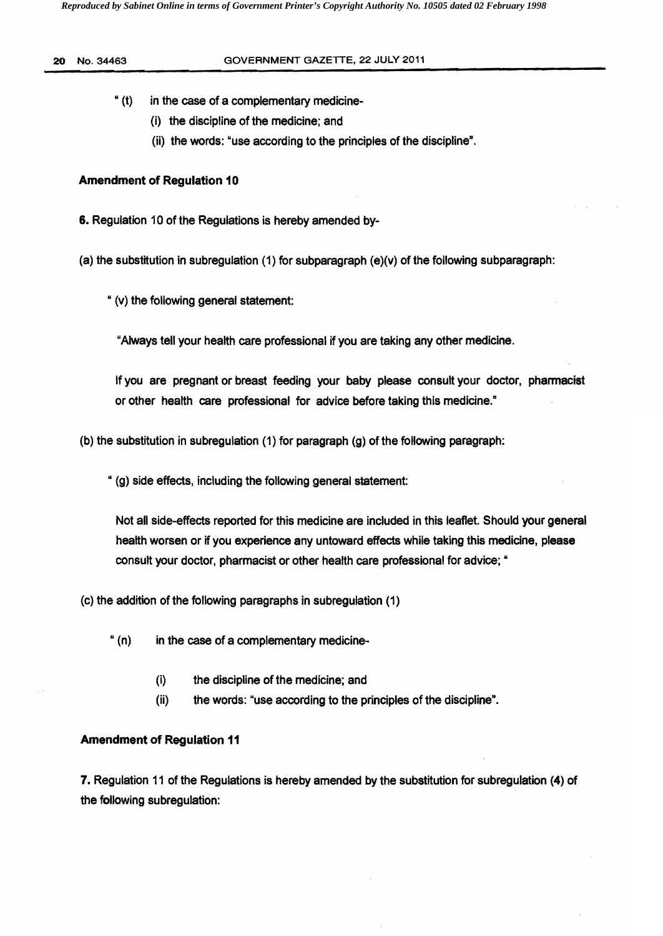## 20 No. 34463 GOVERNMENT GAZETTE, 22 JULY 2011

- " (t) in the case of a complementary medicine·
	- (i) the discipline of the medicine; and
	- (ii) the words: "use according to the principles of the discipline".

# **Amendment of Regulation 10**

6. Regulation 10 of the Regulations is hereby amended by-

(a) the substitution in subregulation  $(1)$  for subparagraph  $(e)(v)$  of the following subparagraph:

" (v) the following general statement:

"Always tell your health care professional if you are taking any other medicine.

If you are pregnant or breast feeding your baby please consult your doctor, phannacist or other health care professional for advice before taking this medicine."

(b) the substitution in subregulation (1) for paragraph (g) of the following paragraph:

" (g) side effects, including the following general statement:

Not all side.effects reported for this medicine are included in this leaflet. Should your general health worsen or if you experience any untoward effects while taking this medicine, please consult your doctor, pharmacist or other health care professional for advice; "

(c) the addition of the following paragraphs in subregulation (1)

- " (n) in the case of a complementary medicine
	- (i) the discipline of the medicine; and
	- (ii) the words: "use according to the principles of the discipline".

# Amendment of Regulation 11

7. Regulation 11 of the Regulations is hereby amended by the substitution for subregulation (4) of the following subregulation: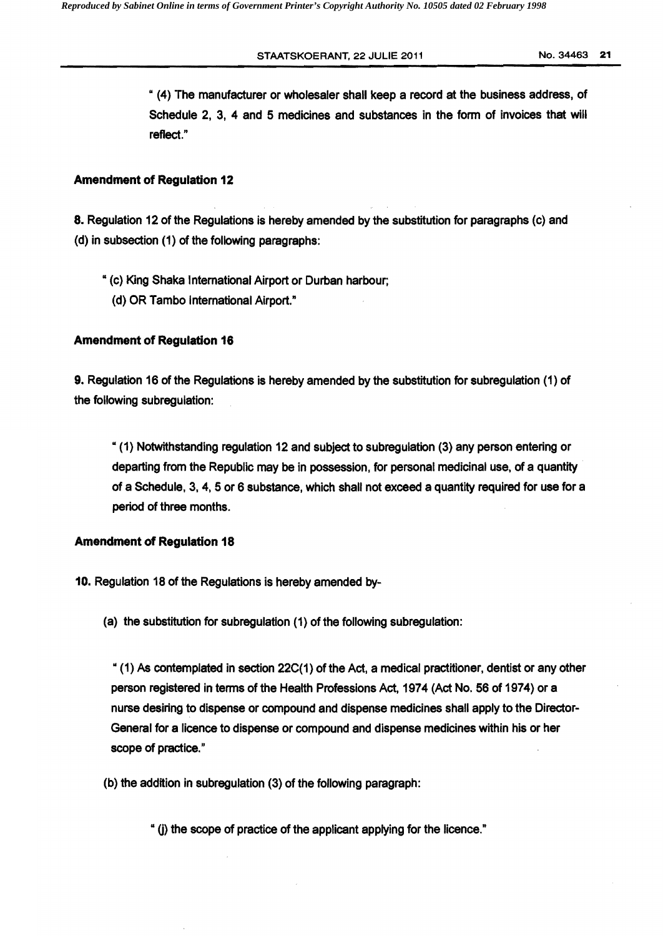STAATSKOERANT, 22 JULIE 2011 120 121 No. 34463 21

" (4) The manufacturer or wholesaler shall keep a record at the business address, of Schedule 2, 3, 4 and 5 medicines and substances in the form of invoices that will reflect."

# Amendment of Regulation 12

8. Regulation 12 of the Regulations is hereby amended by the substitution for paragraphs (C) and (d) in subsection (1) of the following paragraphs:

.. (c) King Shaka International Airport or Durban harbour; (d) OR Tambo International Airport."

# Amendment of Regulation 18

9. Regulation 16 of the Regulations is hereby amended by the substitution for subregulation (1) of the following subregulation:

"(1) Notwithstanding regulation 12 and subject to subregulation (3) any person entering or departing from the Republic may be in possession, for personal medicinal use, of a quantity of a Schedule, 3, 4, 5 or 6 substance, which shall not exceed a quantity required for use for a period of three months.

# Amendment of Regulation 18

- 10. Regulation 18 of the Regulations is hereby amended by
	- (a) the substitution for subregulation (1) of the following subregulation:

 $(1)$  As contemplated in section 22C(1) of the Act, a medical practitioner, dentist or any other person registered in terms of the Health Professions Act, 1974 (Act No. 56 of 1974) or a nurse desiring to dispense or compound and dispense medicines shall apply to the Director-General for a licence to dispense or compound and dispense medicines within his or her scope of practice."

(b) the addition in subregulation (3) of the following paragraph:

" (i) the scope of practice of the applicant applying for the licence."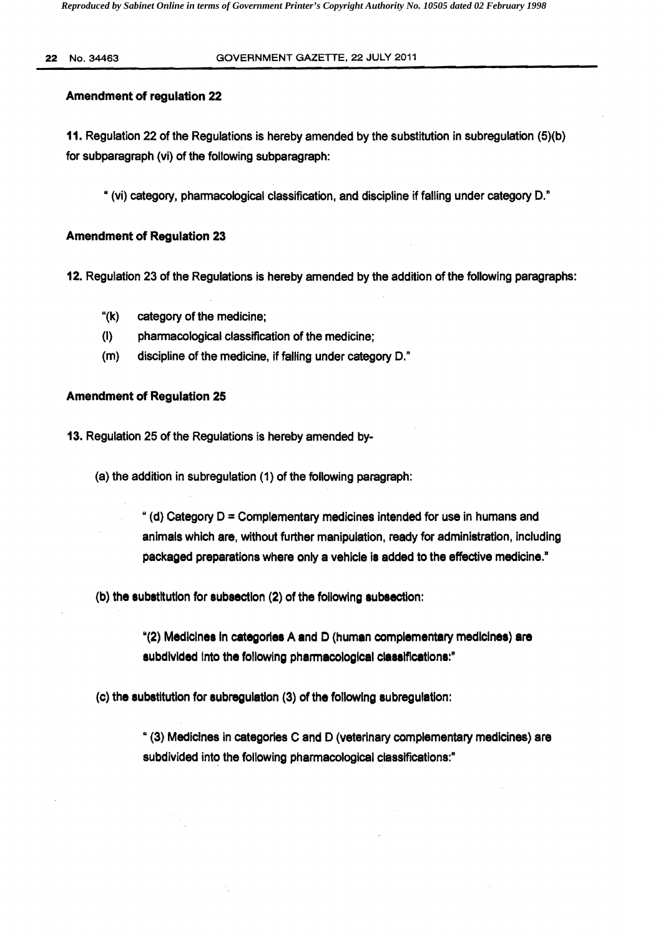#### 22 No. 34463 GOVERNMENT GAZETTE, 22 JULY 2011

#### Amendment of regulation 22

11. Regulation 22 of the Regulations is hereby amended by the substitution in subregulation (5)(b) for subparagraph (vi) of the following subparagraph:

" (vi) category, pharmacological classification, and discipline if falling under category D."

# Amendment of Regulation 23

12. Regulation 23 of the Regulations is hereby amended by the addition of the following paragraphs:

- "(k) category of the medicine;
- (I) pharmacological classification of the medicine;
- (m) discipline of the medicine, if falling under category D."

#### Amendment of Regulation 25

13. Regulation 25 of the Regulations is hereby amended by

 $(a)$  the addition in subregulation  $(1)$  of the following paragraph:

" (d) Category  $D =$  Complementary medicines intended for use in humans and animals which are, without further manipulation, ready for administration, including packaged preparations where only a vehicle is added to the effective medicine."

(b) the substitution for subsection (2) of the followlng subsection:

M(2) Medicines In categories A and D (human complementary medicines) **are**  subdivided into the following pharmacological classifications:"

(c) the substitution for subregulation (3) of the following subregulation:

" (3) Medicines in categories C and D (veterinary complementary medicines) are subdivided into the following pharmacological classifications:"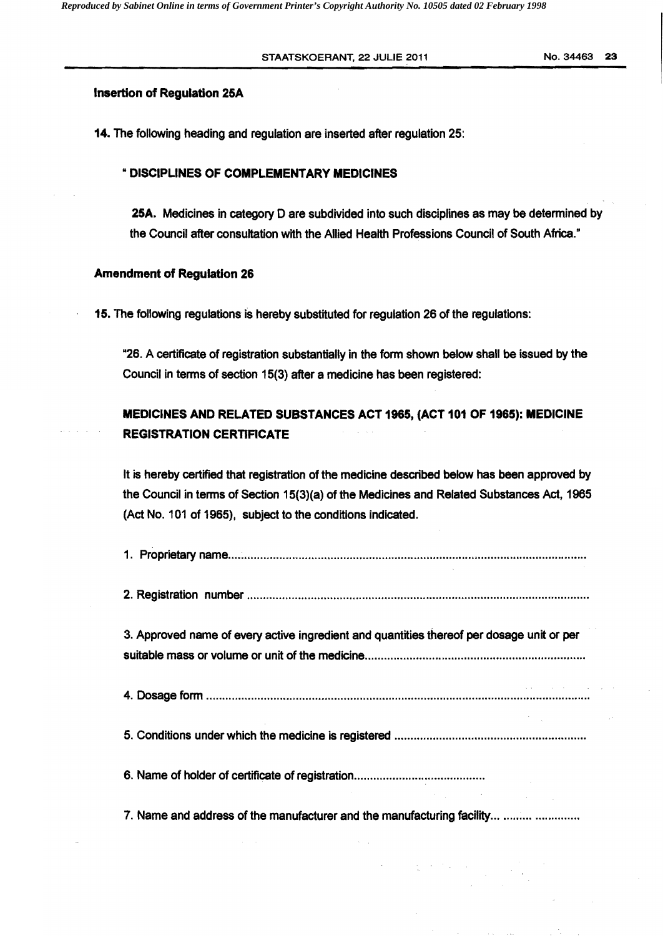STAATSKOERANT, 22 JULIE 2011 No. 34463 23

### Insertion of Regulation 25A

14. The following heading and regulation are inserted after regulation 25:

### " DISCIPLINES OF COMPLEMENTARY MEDICINES

25A. Medicines in category 0 are subdivided into such disciplines as may be determined by the Council after consultation with the Allied Health Professions Council of South Africa."

#### Amendment of Regulation 26

15. The following regulations is hereby substituted for regulation 26 of the regulations:

"26. A certificate of registration substantially in the form shown below shall be issued by the Council in terms of section 15(3) after a medicine has been registered:

# MEDICINES AND RELATED SUBSTANCES ACT 1965, (ACT 101 OF 1965): MEDICINE REGISTRATION CERTIFICATE

It is hereby certified that registration of the medicine described below has been approved by the Council in terms of Section 15(3)(a) of the Medicines and Related Substances Act, 1965 (Act No. 101 of 1965), subject to the conditions indicated.

| 3. Approved name of every active ingredient and quantities thereof per dosage unit or per                                                                                                                                                                                                                                                                                                                                                                 |                                                                                                                                                                                                                                                                                                                                                                                                            |  |
|-----------------------------------------------------------------------------------------------------------------------------------------------------------------------------------------------------------------------------------------------------------------------------------------------------------------------------------------------------------------------------------------------------------------------------------------------------------|------------------------------------------------------------------------------------------------------------------------------------------------------------------------------------------------------------------------------------------------------------------------------------------------------------------------------------------------------------------------------------------------------------|--|
|                                                                                                                                                                                                                                                                                                                                                                                                                                                           |                                                                                                                                                                                                                                                                                                                                                                                                            |  |
|                                                                                                                                                                                                                                                                                                                                                                                                                                                           |                                                                                                                                                                                                                                                                                                                                                                                                            |  |
| $\mathcal{L}^{\mathcal{L}}(\mathcal{L}^{\mathcal{L}}(\mathcal{L}^{\mathcal{L}}(\mathcal{L}^{\mathcal{L}}(\mathcal{L}^{\mathcal{L}}(\mathcal{L}^{\mathcal{L}}(\mathcal{L}^{\mathcal{L}}(\mathcal{L}^{\mathcal{L}}(\mathcal{L}^{\mathcal{L}}(\mathcal{L}^{\mathcal{L}}(\mathcal{L}^{\mathcal{L}}(\mathcal{L}^{\mathcal{L}}(\mathcal{L}^{\mathcal{L}}(\mathcal{L}^{\mathcal{L}}(\mathcal{L}^{\mathcal{L}}(\mathcal{L}^{\mathcal{L}}(\mathcal{L}^{\mathcal{L$ | $\label{eq:2.1} \frac{1}{\sqrt{2}}\int_{0}^{\pi} \frac{1}{\sqrt{2\pi}}\left(\frac{1}{\sqrt{2\pi}}\right)^{2} \frac{1}{\sqrt{2\pi}}\int_{0}^{\pi}\frac{1}{\sqrt{2\pi}}\left(\frac{1}{\sqrt{2\pi}}\right)^{2} \frac{1}{\sqrt{2\pi}}\int_{0}^{\pi}\frac{1}{\sqrt{2\pi}}\frac{1}{\sqrt{2\pi}}\frac{1}{\sqrt{2\pi}}\frac{1}{\sqrt{2\pi}}\frac{1}{\sqrt{2\pi}}\frac{1}{\sqrt{2\pi}}\frac{1}{\sqrt{2\pi}}\frac{1$ |  |
| 7. Name and address of the manufacturer and the manufacturing facility                                                                                                                                                                                                                                                                                                                                                                                    |                                                                                                                                                                                                                                                                                                                                                                                                            |  |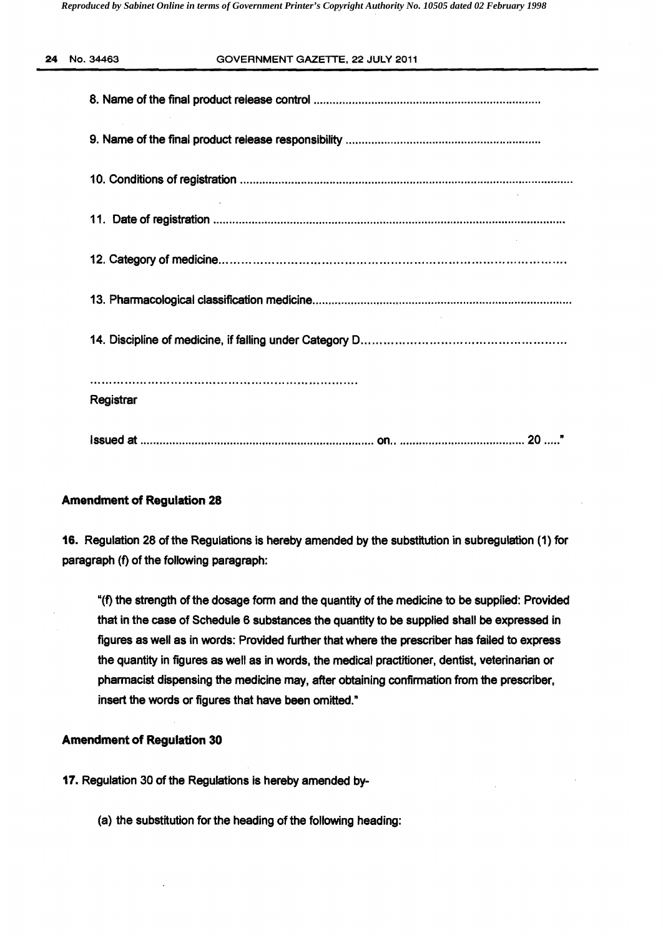| 24 No. 34463 | GOVERNMENT GAZETTE, 22 JULY 2011 |
|--------------|----------------------------------|
|              |                                  |
|              |                                  |
|              |                                  |
|              |                                  |
|              |                                  |
|              |                                  |
|              |                                  |
| Registrar    |                                  |
|              |                                  |

# Amendment of Regulation 28

16. Regulation 28 of the Regulations is hereby amended by the substitution in subregulation (1) for paragraph (f) of the following paragraph:

"(f) the strength of the dosage form and the quantity of the medicine to be supplied: Provided that in the case of Schedule 6 substances the quantity to be supplied shall be expressed in figures as well as in words: Provided further that where the prescriber has failed to express the quantity in figures as well as in words, the medical practitioner, dentist, veterinarian or pharmacist dispensing the medicine may, after obtaining confirmation from the prescriber, insert the words or figures that have been omitted."

# Amendment of Regulation 30

17. Regulation 30 of the Regulations is hereby amended by

(a) the substitution for the heading of the following heading: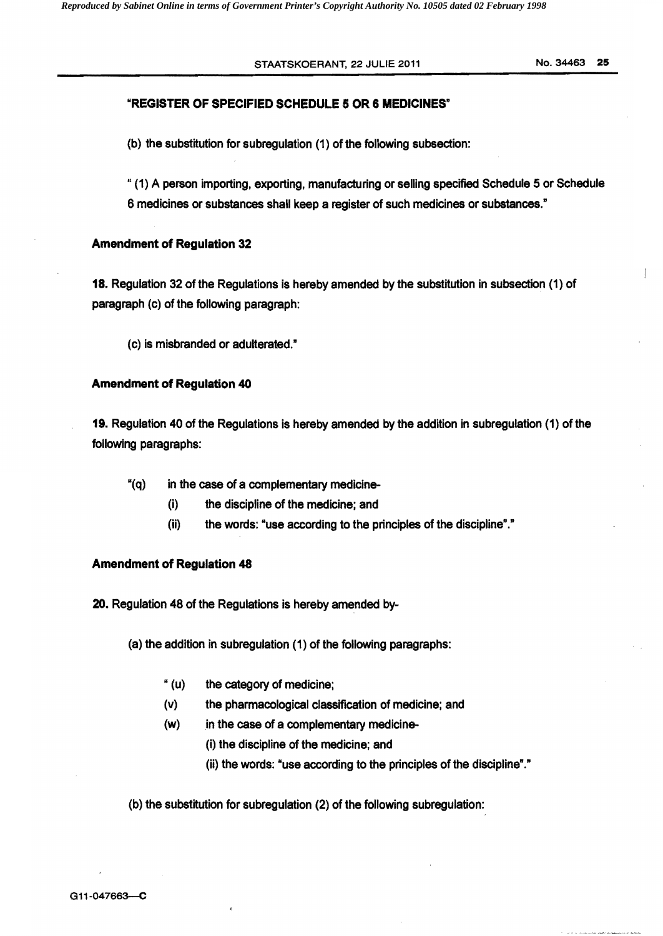### STAATSKOERANT, 22 JULIE 2011 NO. 34463 25

## "REGISTER OF SPECIFIED SCHEDULE 5 OR 6 MEDICINES"

(b) the substitution for subregulation (1) of the following subsection:

"(1) A person importing, exporting, manufacturing or selling specified Schedule 5 or Schedule 6 medicines or substances shall keep a register of such medicines or substances."

#### Amendment of Regulation 32

18. Regulation 32 of the Regulations is hereby amended by the substitution in subsection (1) of paragraph (c) of the following paragraph:

(c) is misbranded or adulterated."

#### Amendment of Regulation 40

19. Regulation 40 of the Regulations is hereby amended by the addition in subregulation (1) of the following paragraphs:

"(q) in the case of a complementary medicine

- (i) the discipline of the medicine; and
- $(ii)$  the words: "use according to the principles of the discipline"."

### Amendment of Regulation 48

20. Regulation 48 of the Regulations is hereby amended by

(a) the addition in subregulation (1) of the following paragraphs:

- " (u) the category of medicine;
- (v) the pharmacological classification of medicine; and
- (w) in the case of a complementary medicine-

(i) the discipline of the medicine; and

(ii) the words: "use according to the principles of the discipline"."

(b) the substitution for subregulation (2) of the following subregulation: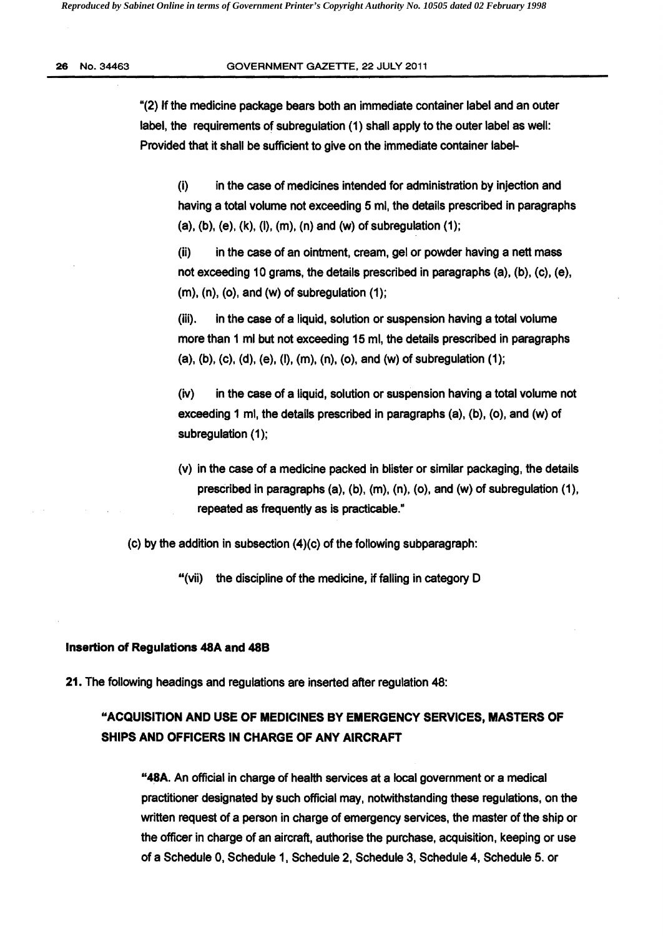#### 26 No. 34463 **GOVERNMENT GAZETTE, 22 JULY 2011**

"(2) If the medicine package bears both an immediate container label and an outer label, the requirements of subregulation (1) shall apply to the outer label as well: Provided that it shall be sufficient to give on the immediate container label

(i) in the case of medicines intended for administration by injection and having a total volume not exceeding 5 ml, the details prescribed in paragraphs (a), (b), (e), (k), (I), (m). (n) and (w) of subregulation (1);

(ii) in the case of an ointment, cream, gel or powder having a nett mass not exceeding 10 grams, the details prescribed in paragraphs (a), (b), (c). (e),  $(m)$ ,  $(n)$ ,  $(o)$ , and  $(w)$  of subregulation  $(1)$ ;

(iii). in the case of a liquid. solution or suspension having a total volume more than 1 ml but not exceeding 15 ml, the details prescribed in paragraphs (a). (b). (c). (d), (e), (I). (m), (n). (0), and (w) of subregulation (1);

(iv) in the case of a liquid, solution or suspension having a total volume not exceeding 1 mi. the details prescribed in paragraphs (a), (b), (0), and (w) of subregulation (1);

(v) in the case of a medicine packed in blister or similar packaging, the details prescribed in paragraphs (a), (b), (m). (n). (0). and (w) of subregulation (1), repeated as frequently as is practicable."

(c) by the addition in subsection (4)(c) of the following subparagraph:

"(vii) the discipline of the medicine, if falling in category  $D$ 

#### Insertion of Regulations 48A and 48B

21. The following headings and regulations are inserted after regulation 48:

# "ACQUISITION AND USE OF MEDICINES BY EMERGENCY SERVICES, MASTERS OF SHIPS AND OFFICERS IN CHARGE OF ANY AIRCRAFT

"48A. An official in charge of health services at a local government or a medical practitioner designated by such official may, notwithstanding these regulations, on the written request of a person in charge of emergency services, the master of the ship or the officer in charge of an aircraft. authorise the purchase. acquisition, keeping or use of a Schedule 0, Schedule 1. Schedule 2, Schedule 3. Schedule 4, Schedule 5. or